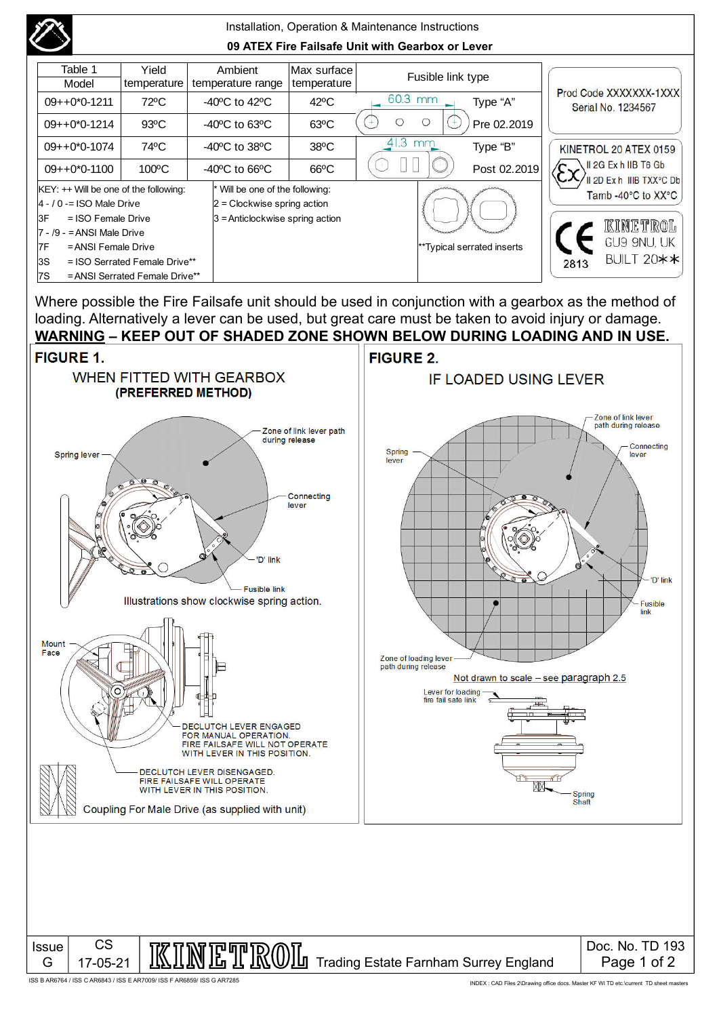

Where possible the Fire Failsafe unit should be used in conjunction with a gearbox as the method of loading. Alternatively a lever can be used, but great care must be taken to avoid injury or damage.



ISS B AR6764 / ISS C AR6843 / ISS E AR7009/ ISS F AR6859/ ISS G AR7285

INDEX : CAD Files 2\Drawing office docs. Master KF WI TD etc.\current TD sheet masters